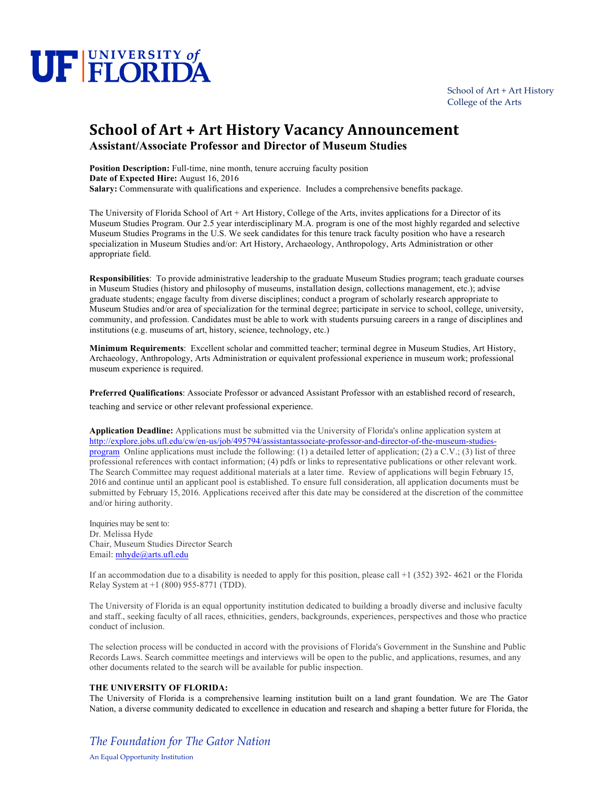# UF FLORIDA

School of Art + Art History College of the Arts

## **School of Art + Art History Vacancy Announcement Assistant/Associate Professor and Director of Museum Studies**

**Position Description:** Full-time, nine month, tenure accruing faculty position **Date of Expected Hire:** August 16, 2016

**Salary:** Commensurate with qualifications and experience. Includes a comprehensive benefits package.

The University of Florida School of Art + Art History, College of the Arts, invites applications for a Director of its Museum Studies Program. Our 2.5 year interdisciplinary M.A. program is one of the most highly regarded and selective Museum Studies Programs in the U.S. We seek candidates for this tenure track faculty position who have a research specialization in Museum Studies and/or: Art History, Archaeology, Anthropology, Arts Administration or other appropriate field.

**Responsibilities**: To provide administrative leadership to the graduate Museum Studies program; teach graduate courses in Museum Studies (history and philosophy of museums, installation design, collections management, etc.); advise graduate students; engage faculty from diverse disciplines; conduct a program of scholarly research appropriate to Museum Studies and/or area of specialization for the terminal degree; participate in service to school, college, university, community, and profession. Candidates must be able to work with students pursuing careers in a range of disciplines and institutions (e.g. museums of art, history, science, technology, etc.)

**Minimum Requirements**: Excellent scholar and committed teacher; terminal degree in Museum Studies, Art History, Archaeology, Anthropology, Arts Administration or equivalent professional experience in museum work; professional museum experience is required.

**Preferred Qualifications**: Associate Professor or advanced Assistant Professor with an established record of research, teaching and service or other relevant professional experience.

**Application Deadline:** Applications must be submitted via the University of Florida's online application system at http://explore.jobs.ufl.edu/cw/en-us/job/495794/assistantassociate-professor-and-director-of-the-museum-studiesprogram Online applications must include the following: (1) a detailed letter of application; (2) a C.V.; (3) list of three professional references with contact information; (4) pdfs or links to representative publications or other relevant work. The Search Committee may request additional materials at a later time. Review of applications will begin February 15, 2016 and continue until an applicant pool is established. To ensure full consideration, all application documents must be submitted by February 15, 2016. Applications received after this date may be considered at the discretion of the committee and/or hiring authority.

Inquiries may be sent to: Dr. Melissa Hyde Chair, Museum Studies Director Search Email: mhyde@arts.ufl.edu

If an accommodation due to a disability is needed to apply for this position, please call  $+1$  (352) 392-4621 or the Florida Relay System at +1 (800) 955-8771 (TDD).

The University of Florida is an equal opportunity institution dedicated to building a broadly diverse and inclusive faculty and staff., seeking faculty of all races, ethnicities, genders, backgrounds, experiences, perspectives and those who practice conduct of inclusion.

The selection process will be conducted in accord with the provisions of Florida's Government in the Sunshine and Public Records Laws. Search committee meetings and interviews will be open to the public, and applications, resumes, and any other documents related to the search will be available for public inspection.

## **THE UNIVERSITY OF FLORIDA:**

The University of Florida is a comprehensive learning institution built on a land grant foundation. We are The Gator Nation, a diverse community dedicated to excellence in education and research and shaping a better future for Florida, the

## *The Foundation for The Gator Nation*

An Equal Opportunity Institution